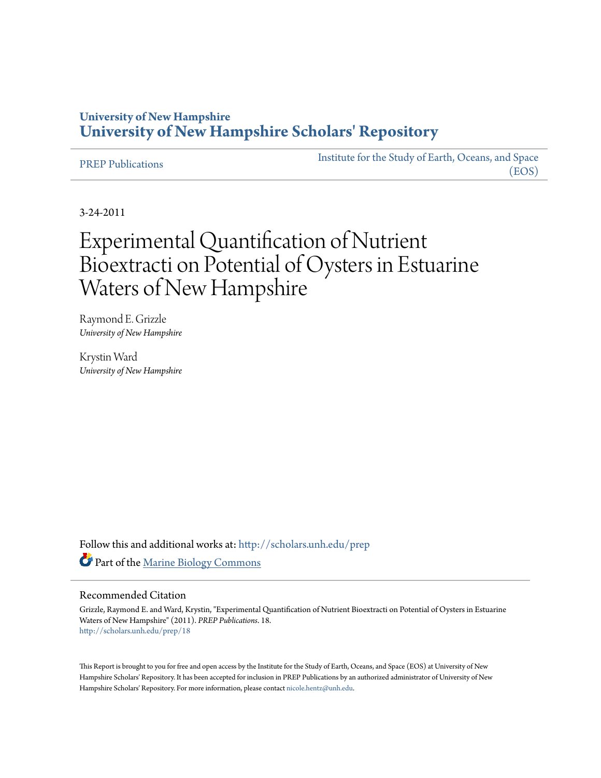# **University of New Hampshire [University of New Hampshire Scholars' Repository](http://scholars.unh.edu?utm_source=scholars.unh.edu%2Fprep%2F18&utm_medium=PDF&utm_campaign=PDFCoverPages)**

[PREP Publications](http://scholars.unh.edu/prep?utm_source=scholars.unh.edu%2Fprep%2F18&utm_medium=PDF&utm_campaign=PDFCoverPages) [Institute for the Study of Earth, Oceans, and Space](http://scholars.unh.edu/eos?utm_source=scholars.unh.edu%2Fprep%2F18&utm_medium=PDF&utm_campaign=PDFCoverPages) [\(EOS\)](http://scholars.unh.edu/eos?utm_source=scholars.unh.edu%2Fprep%2F18&utm_medium=PDF&utm_campaign=PDFCoverPages)

3-24-2011

# Experimental Quantification of Nutrient Bioextracti on Potential of Oysters in Estuarine Waters of New Hampshire

Raymond E. Grizzle *University of New Hampshire*

Krystin Ward *University of New Hampshire*

Follow this and additional works at: [http://scholars.unh.edu/prep](http://scholars.unh.edu/prep?utm_source=scholars.unh.edu%2Fprep%2F18&utm_medium=PDF&utm_campaign=PDFCoverPages) Part of the [Marine Biology Commons](http://network.bepress.com/hgg/discipline/1126?utm_source=scholars.unh.edu%2Fprep%2F18&utm_medium=PDF&utm_campaign=PDFCoverPages)

#### Recommended Citation

Grizzle, Raymond E. and Ward, Krystin, "Experimental Quantification of Nutrient Bioextracti on Potential of Oysters in Estuarine Waters of New Hampshire" (2011). *PREP Publications*. 18. [http://scholars.unh.edu/prep/18](http://scholars.unh.edu/prep/18?utm_source=scholars.unh.edu%2Fprep%2F18&utm_medium=PDF&utm_campaign=PDFCoverPages)

This Report is brought to you for free and open access by the Institute for the Study of Earth, Oceans, and Space (EOS) at University of New Hampshire Scholars' Repository. It has been accepted for inclusion in PREP Publications by an authorized administrator of University of New Hampshire Scholars' Repository. For more information, please contact [nicole.hentz@unh.edu.](mailto:nicole.hentz@unh.edu)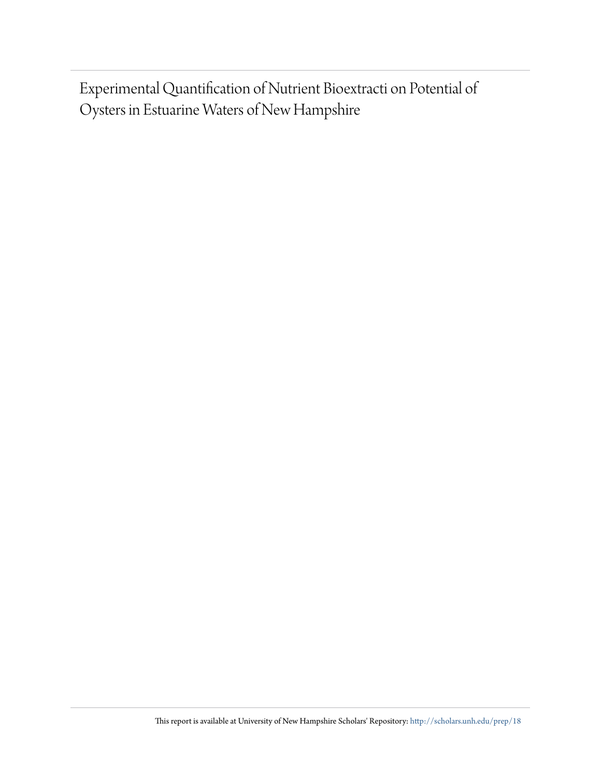Experimental Quantification of Nutrient Bioextracti on Potential of Oysters in Estuarine Waters of New Hampshire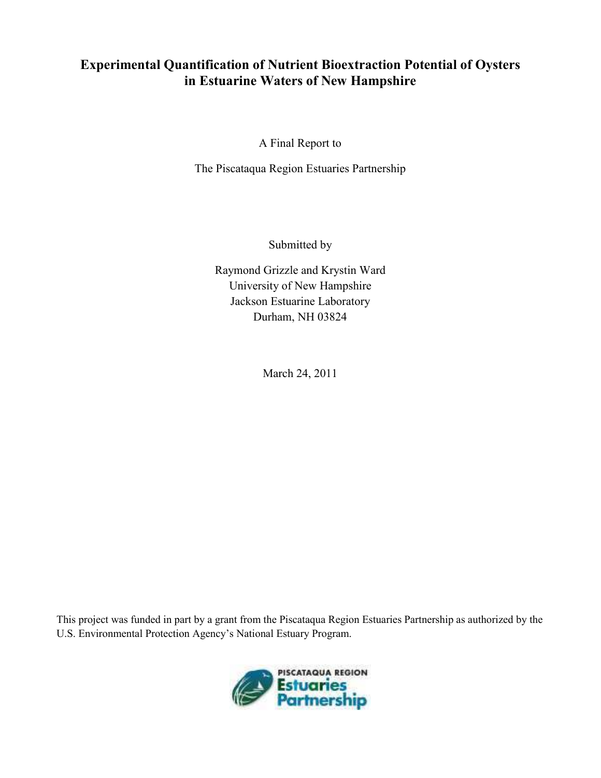# **Experimental Quantification of Nutrient Bioextraction Potential of Oysters** in Estuarine Waters of New Hampshire

A Final Report to

The Piscataqua Region Estuaries Partnership

Submitted by

Raymond Grizzle and Krystin Ward University of New Hampshire Jackson Estuarine Laboratory Durham, NH 03824

March 24, 2011

This project was funded in part by a grant from the Piscataqua Region Estuaries Partnership as authorized by the U.S. Environmental Protection Agency's National Estuary Program.

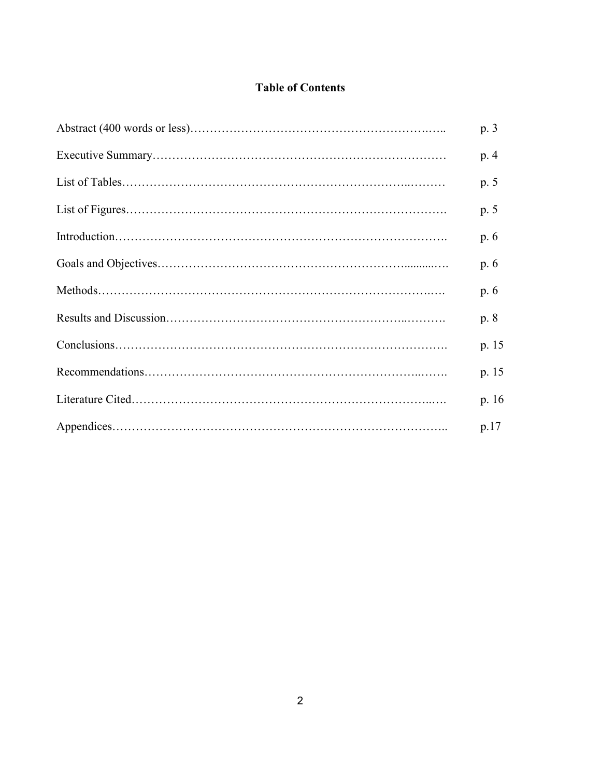## **Table of Contents**

| p. 3  |
|-------|
| p. 4  |
| p. 5  |
| p. 5  |
| p. 6  |
| p. 6  |
| p. 6  |
| p. 8  |
| p. 15 |
| p. 15 |
| p. 16 |
| p.17  |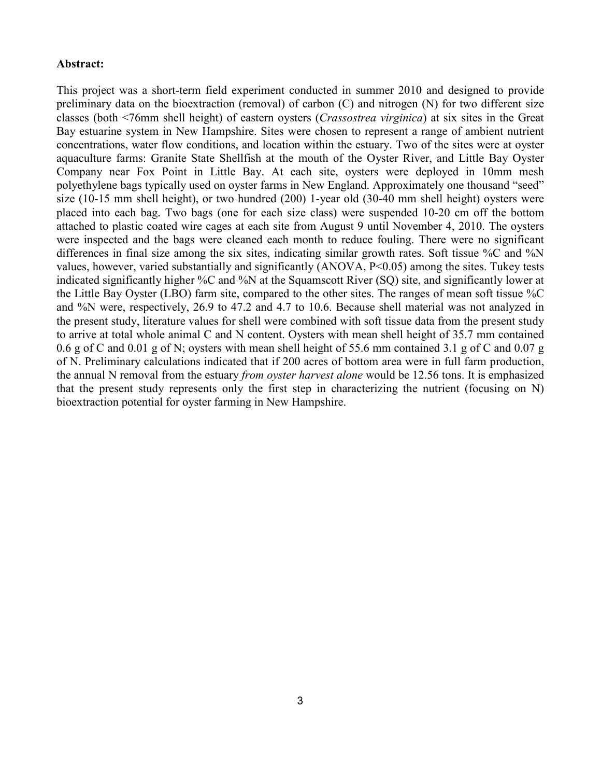#### Abstract:

This project was a short-term field experiment conducted in summer 2010 and designed to provide preliminary data on the bioextraction (removal) of carbon (C) and nitrogen (N) for two different size classes (both <76mm shell height) of eastern oysters (*Crassostrea virginica*) at six sites in the Great Bay estuarine system in New Hampshire. Sites were chosen to represent a range of ambient nutrient concentrations, water flow conditions, and location within the estuary. Two of the sites were at oyster aquaculture farms: Granite State Shellfish at the mouth of the Oyster River, and Little Bay Oyster Company near Fox Point in Little Bay. At each site, oysters were deployed in 10mm mesh polyethylene bags typically used on oyster farms in New England. Approximately one thousand "seed" size  $(10-15 \text{ mm shell height})$ , or two hundred  $(200)$  1-year old  $(30-40 \text{ mm shell height})$  oysters were placed into each bag. Two bags (one for each size class) were suspended 10-20 cm off the bottom attached to plastic coated wire cages at each site from August 9 until November 4, 2010. The oysters were inspected and the bags were cleaned each month to reduce fouling. There were no significant differences in final size among the six sites, indicating similar growth rates. Soft tissue %C and %N values, however, varied substantially and significantly (ANOVA, P<0.05) among the sites. Tukey tests indicated significantly higher %C and %N at the Squamscott River (SQ) site, and significantly lower at the Little Bay Oyster (LBO) farm site, compared to the other sites. The ranges of mean soft tissue %C and %N were, respectively, 26.9 to 47.2 and 4.7 to 10.6. Because shell material was not analyzed in the present study, literature values for shell were combined with soft tissue data from the present study to arrive at total whole animal C and N content. Oysters with mean shell height of 35.7 mm contained 0.6 g of C and 0.01 g of N; oysters with mean shell height of 55.6 mm contained 3.1 g of C and 0.07 g of N. Preliminary calculations indicated that if 200 acres of bottom area were in full farm production, the annual N removal from the estuary *from oyster harvest alone* would be 12.56 tons. It is emphasized that the present study represents only the first step in characterizing the nutrient (focusing on N) bioextraction potential for oyster farming in New Hampshire.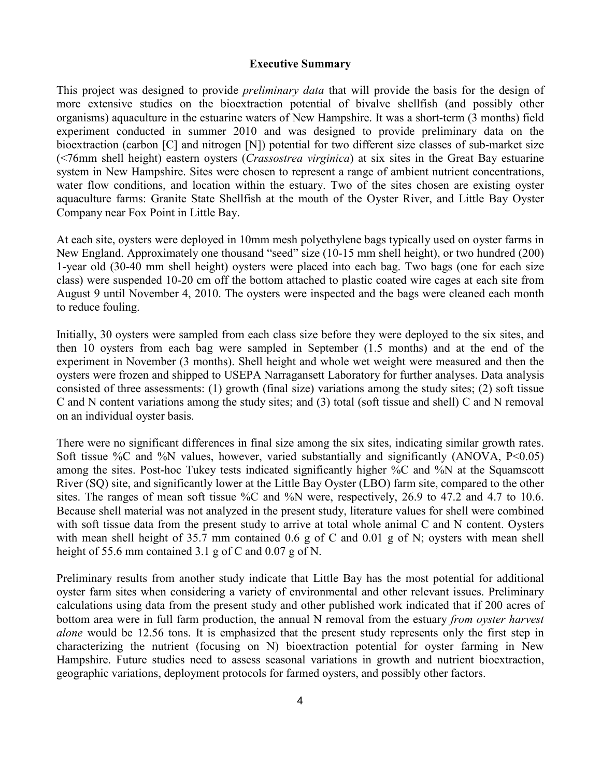#### **Executive Summary**

This project was designed to provide *preliminary data* that will provide the basis for the design of more extensive studies on the bioextraction potential of bivalve shellfish (and possibly other organisms) aquaculture in the estuarine waters of New Hampshire. It was a short-term (3 months) field experiment conducted in summer 2010 and was designed to provide preliminary data on the bioextraction (carbon  $[C]$  and nitrogen  $[N]$ ) potential for two different size classes of sub-market size (<76mm shell height) eastern oysters (*Crassostrea virginica*) at six sites in the Great Bay estuarine system in New Hampshire. Sites were chosen to represent a range of ambient nutrient concentrations, water flow conditions, and location within the estuary. Two of the sites chosen are existing oyster aquaculture farms: Granite State Shellfish at the mouth of the Oyster River, and Little Bay Oyster Company near Fox Point in Little Bay.

At each site, oysters were deployed in 10mm mesh polyethylene bags typically used on oyster farms in New England. Approximately one thousand "seed" size (10-15 mm shell height), or two hundred (200) 1-year old (30-40 mm shell height) oysters were placed into each bag. Two bags (one for each size class) were suspended 10-20 cm off the bottom attached to plastic coated wire cages at each site from August 9 until November 4, 2010. The oysters were inspected and the bags were cleaned each month to reduce fouling.

Initially, 30 oysters were sampled from each class size before they were deployed to the six sites, and then 10 oysters from each bag were sampled in September (1.5 months) and at the end of the experiment in November (3 months). Shell height and whole wet weight were measured and then the oysters were frozen and shipped to USEPA Narragansett Laboratory for further analyses. Data analysis consisted of three assessments: (1) growth (final size) variations among the study sites; (2) soft tissue C and N content variations among the study sites; and (3) total (soft tissue and shell) C and N removal on an individual oyster basis.

There were no significant differences in final size among the six sites, indicating similar growth rates. Soft tissue  $\%C$  and  $\%N$  values, however, varied substantially and significantly (ANOVA, P<0.05) among the sites. Post-hoc Tukey tests indicated significantly higher %C and %N at the Squamscott River (SQ) site, and significantly lower at the Little Bay Oyster (LBO) farm site, compared to the other sites. The ranges of mean soft tissue %C and %N were, respectively, 26.9 to 47.2 and 4.7 to 10.6. Because shell material was not analyzed in the present study, literature values for shell were combined with soft tissue data from the present study to arrive at total whole animal C and N content. Oysters with mean shell height of 35.7 mm contained 0.6 g of C and 0.01 g of N; oysters with mean shell height of 55.6 mm contained 3.1 g of C and 0.07 g of N.

Preliminary results from another study indicate that Little Bay has the most potential for additional oyster farm sites when considering a variety of environmental and other relevant issues. Preliminary calculations using data from the present study and other published work indicated that if 200 acres of bottom area were in full farm production, the annual N removal from the estuary *from oyster harvest alone* would be 12.56 tons. It is emphasized that the present study represents only the first step in characterizing the nutrient (focusing on N) bioextraction potential for oyster farming in New Hampshire. Future studies need to assess seasonal variations in growth and nutrient bioextraction, geographic variations, deployment protocols for farmed oysters, and possibly other factors.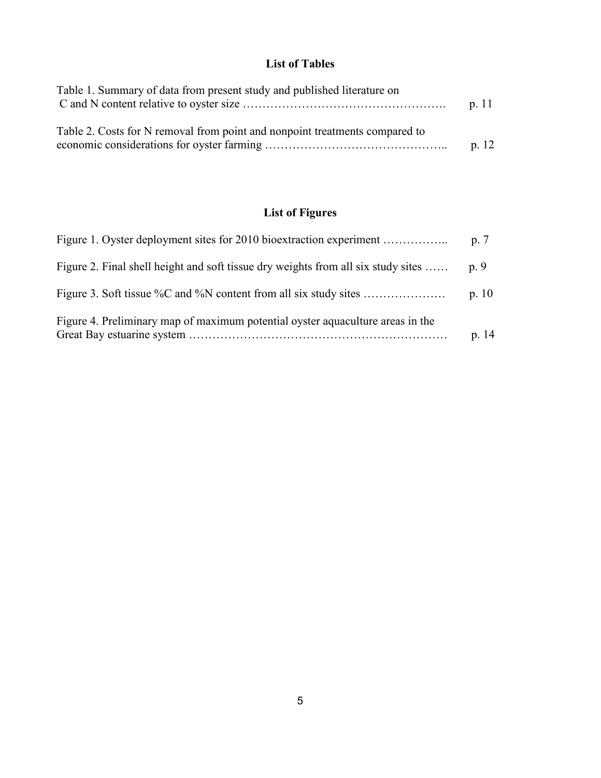#### **List of Tables**

| Table 1. Summary of data from present study and published literature on     | p. 11 |
|-----------------------------------------------------------------------------|-------|
| Table 2. Costs for N removal from point and nonpoint treatments compared to | p.12  |

# List of Figures

|                                                                                   | p.7   |
|-----------------------------------------------------------------------------------|-------|
| Figure 2. Final shell height and soft tissue dry weights from all six study sites | p. 9  |
|                                                                                   | p. 10 |
| Figure 4. Preliminary map of maximum potential oyster aquaculture areas in the    | p. 14 |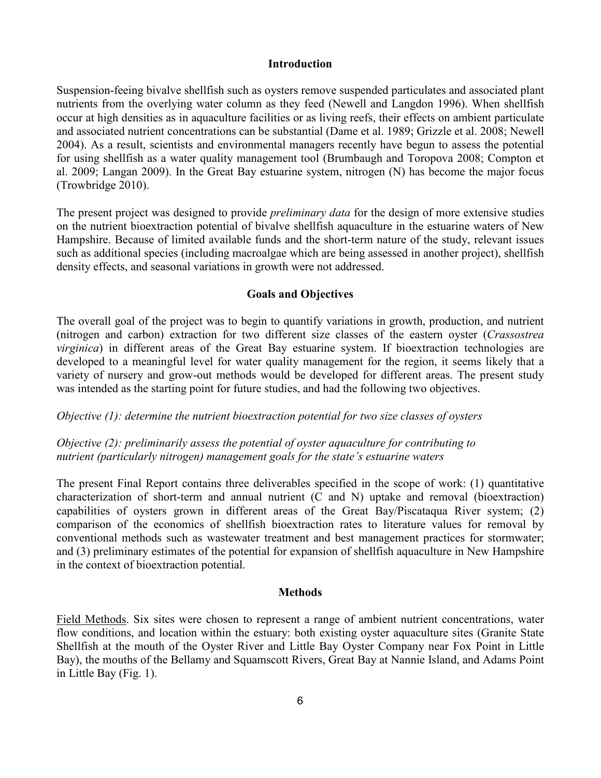#### **Introduction**

Suspension?feeing bivalve shellfish such as oysters remove suspended particulates and associated plant nutrients from the overlying water column as they feed (Newell and Langdon 1996). When shellfish occur at high densities as in aquaculture facilities or as living reefs, their effects on ambient particulate and associated nutrient concentrations can be substantial (Dame et al. 1989; Grizzle et al. 2008; Newell 2004). As a result, scientists and environmental managers recently have begun to assess the potential for using shellfish as a water quality management tool (Brumbaugh and Toropova 2008; Compton et al. 2009; Langan 2009). In the Great Bay estuarine system, nitrogen (N) has become the major focus (Trowbridge 2010).

The present project was designed to provide *preliminary data* for the design of more extensive studies on the nutrient bioextraction potential of bivalve shellfish aquaculture in the estuarine waters of New Hampshire. Because of limited available funds and the short-term nature of the study, relevant issues such as additional species (including macroalgae which are being assessed in another project), shellfish density effects, and seasonal variations in growth were not addressed.

#### **Goals and Objectives**

The overall goal of the project was to begin to quantify variations in growth, production, and nutrient (nitrogen and carbon) extraction for two different size classes of the eastern oyster (*Crassostrea virginica*) in different areas of the Great Bay estuarine system. If bioextraction technologies are developed to a meaningful level for water quality management for the region, it seems likely that a variety of nursery and grow-out methods would be developed for different areas. The present study was intended as the starting point for future studies, and had the following two objectives.

#### *Objective (1): determine the nutrient bioextraction potential for two size classes of oysters*

### Objective (2): preliminarily assess the potential of oyster aquaculture for contributing to mutrient (particularly nitrogen) management goals for the state's estuarine waters

The present Final Report contains three deliverables specified in the scope of work: (1) quantitative characterization of short-term and annual nutrient  $(C$  and  $N)$  uptake and removal (bioextraction) capabilities of oysters grown in different areas of the Great Bay/Piscataqua River system; (2) comparison of the economics of shellfish bioextraction rates to literature values for removal by conventional methods such as wastewater treatment and best management practices for stormwater; and (3) preliminary estimates of the potential for expansion of shellfish aquaculture in New Hampshire in the context of bioextraction potential.

#### **Methods**

Field Methods. Six sites were chosen to represent a range of ambient nutrient concentrations, water flow conditions, and location within the estuary: both existing oyster aquaculture sites (Granite State Shellfish at the mouth of the Oyster River and Little Bay Oyster Company near Fox Point in Little Bay), the mouths of the Bellamy and Squamscott Rivers, Great Bay at Nannie Island, and Adams Point in Little Bay (Fig. 1).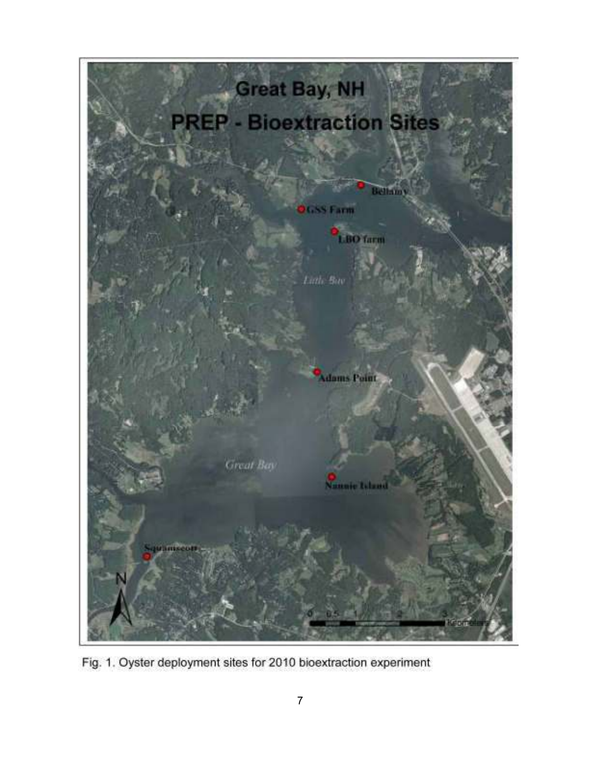

Fig. 1. Oyster deployment sites for 2010 bioextraction experiment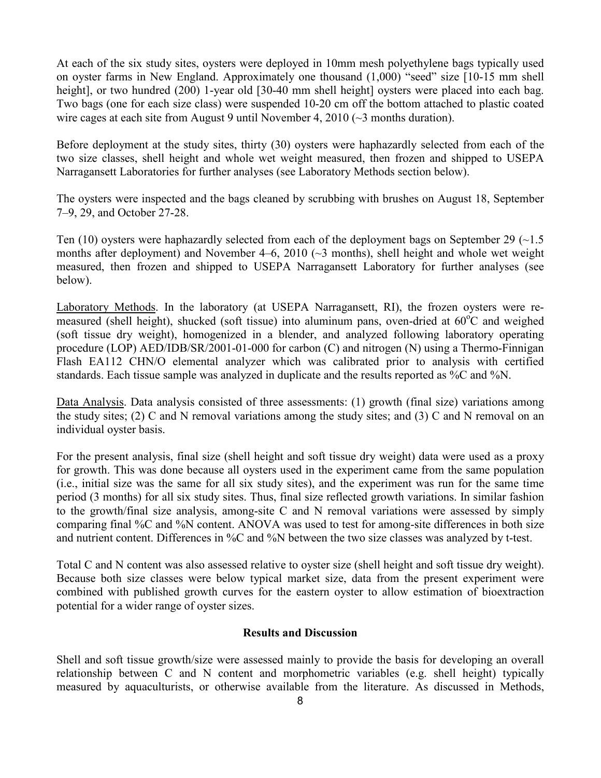At each of the six study sites, oysters were deployed in 10mm mesh polyethylene bags typically used on oyster farms in New England. Approximately one thousand  $(1,000)$  "seed" size [10-15 mm shell height], or two hundred (200) 1-year old [30-40 mm shell height] oysters were placed into each bag. Two bags (one for each size class) were suspended 10-20 cm off the bottom attached to plastic coated wire cages at each site from August 9 until November 4, 2010 ( $\sim$ 3 months duration).

Before deployment at the study sites, thirty (30) oysters were haphazardly selected from each of the two size classes, shell height and whole wet weight measured, then frozen and shipped to USEPA Narragansett Laboratories for further analyses (see Laboratory Methods section below).

The oysters were inspected and the bags cleaned by scrubbing with brushes on August 18, September 7–9, 29, and October 27-28.

Ten (10) oysters were haphazardly selected from each of the deployment bags on September 29  $(-1.5)$ months after deployment) and November 4–6, 2010 (~3 months), shell height and whole wet weight measured, then frozen and shipped to USEPA Narragansett Laboratory for further analyses (see below).

Laboratory Methods. In the laboratory (at USEPA Narragansett, RI), the frozen oysters were remeasured (shell height), shucked (soft tissue) into aluminum pans, oven-dried at  $60^{\circ}$ C and weighed (soft tissue dry weight), homogenized in a blender, and analyzed following laboratory operating procedure (LOP)  $AED/IDB/SR/2001-01-000$  for carbon (C) and nitrogen (N) using a Thermo-Finnigan Flash EA112 CHN/O elemental analyzer which was calibrated prior to analysis with certified standards. Each tissue sample was analyzed in duplicate and the results reported as %C and %N.

Data Analysis. Data analysis consisted of three assessments: (1) growth (final size) variations among the study sites; (2) C and N removal variations among the study sites; and (3) C and N removal on an individual oyster basis.

For the present analysis, final size (shell height and soft tissue dry weight) data were used as a proxy for growth. This was done because all oysters used in the experiment came from the same population (i.e., initial size was the same for all six study sites), and the experiment was run for the same time period (3 months) for all six study sites. Thus, final size reflected growth variations. In similar fashion to the growth/final size analysis, among-site C and N removal variations were assessed by simply comparing final %C and %N content. ANOVA was used to test for among-site differences in both size and nutrient content. Differences in  $\%C$  and  $\%N$  between the two size classes was analyzed by t-test.

Total C and N content was also assessed relative to oyster size (shell height and soft tissue dry weight). Because both size classes were below typical market size, data from the present experiment were combined with published growth curves for the eastern oyster to allow estimation of bioextraction potential for a wider range of oyster sizes.

#### **Results and Discussion**

Shell and soft tissue growth/size were assessed mainly to provide the basis for developing an overall relationship between C and N content and morphometric variables (e.g. shell height) typically measured by aquaculturists, or otherwise available from the literature. As discussed in Methods,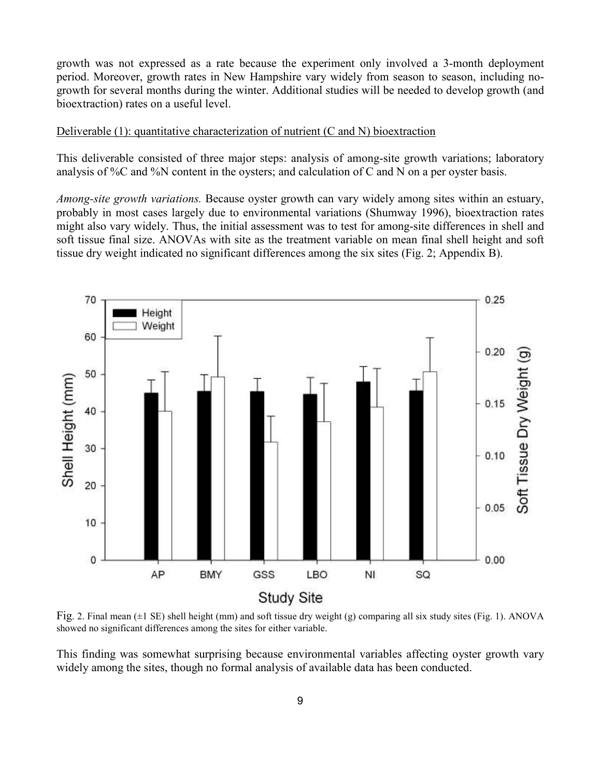growth was not expressed as a rate because the experiment only involved a 3-month deployment period. Moreover, growth rates in New Hampshire vary widely from season to season, including nogrowth for several months during the winter. Additional studies will be needed to develop growth (and bioextraction) rates on a useful level.

#### Deliverable (1): quantitative characterization of nutrient (C and N) bioextraction

This deliverable consisted of three major steps: analysis of among-site growth variations; laboratory analysis of %C and %N content in the oysters; and calculation of C and N on a per oyster basis.

*Among-site growth variations.* Because oyster growth can vary widely among sites within an estuary, probably in most cases largely due to environmental variations (Shumway 1996), bioextraction rates might also vary widely. Thus, the initial assessment was to test for among-site differences in shell and soft tissue final size. ANOVAs with site as the treatment variable on mean final shell height and soft tissue dry weight indicated no significant differences among the six sites (Fig. 2; Appendix B).



Fig. 2. Final mean (±1 SE) shell height (mm) and soft tissue dry weight (g) comparing all six study sites (Fig. 1). ANOVA showed no significant differences among the sites for either variable.

This finding was somewhat surprising because environmental variables affecting oyster growth vary widely among the sites, though no formal analysis of available data has been conducted.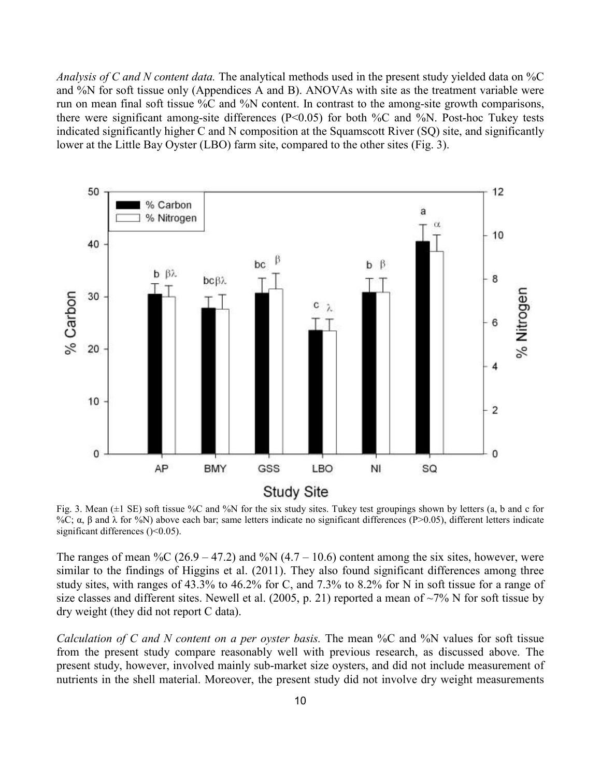Analysis of C and N content data. The analytical methods used in the present study yielded data on %C and %N for soft tissue only (Appendices A and B). ANOVAs with site as the treatment variable were run on mean final soft tissue %C and %N content. In contrast to the among-site growth comparisons, there were significant among-site differences ( $P<0.05$ ) for both %C and %N. Post-hoc Tukey tests indicated significantly higher C and N composition at the Squamscott River (SQ) site, and significantly lower at the Little Bay Oyster (LBO) farm site, compared to the other sites (Fig. 3).



Fig. 3. Mean  $(\pm 1 \text{ SE})$  soft tissue %C and %N for the six study sites. Tukey test groupings shown by letters (a, b and c for %C;  $\alpha$ , β and λ for %N) above each bar; same letters indicate no significant differences (P>0.05), different letters indicate significant differences ( $\leq 0.05$ ).

The ranges of mean %C (26.9 – 47.2) and %N (4.7 – 10.6) content among the six sites, however, were similar to the findings of Higgins et al. (2011). They also found significant differences among three study sites, with ranges of 43.3% to 46.2% for C, and 7.3% to 8.2% for N in soft tissue for a range of size classes and different sites. Newell et al. (2005, p. 21) reported a mean of  $\sim$ 7% N for soft tissue by dry weight (they did not report C data).

Calculation of C and N content on a per oyster basis. The mean %C and %N values for soft tissue from the present study compare reasonably well with previous research, as discussed above. The present study, however, involved mainly sub-market size oysters, and did not include measurement of nutrients in the shell material. Moreover, the present study did not involve dry weight measurements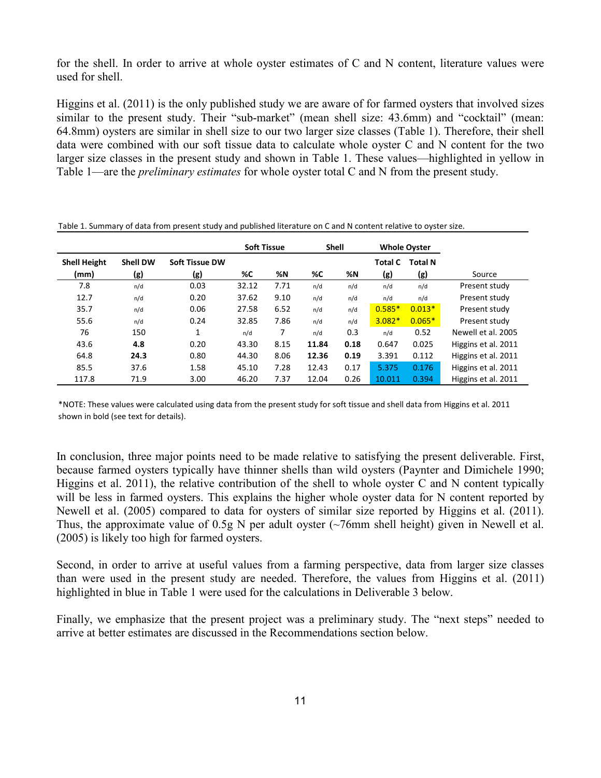for the shell. In order to arrive at whole oyster estimates of C and N content, literature values were used for shell.

Higgins et al. (2011) is the only published study we are aware of for farmed oysters that involved sizes similar to the present study. Their "sub-market" (mean shell size: 43.6mm) and "cocktail" (mean: 64.8mm) oysters are similar in shell size to our two larger size classes (Table 1). Therefore, their shell data were combined with our soft tissue data to calculate whole oyster C and N content for the two larger size classes in the present study and shown in Table 1. These values—highlighted in yellow in Table 1—are the *preliminary estimates* for whole oyster total C and N from the present study.

|                     |                 |                |       | <b>Soft Tissue</b><br><b>Shell</b><br><b>Whole Oyster</b> |       |      |                |                |                     |
|---------------------|-----------------|----------------|-------|-----------------------------------------------------------|-------|------|----------------|----------------|---------------------|
| <b>Shell Height</b> | <b>Shell DW</b> | Soft Tissue DW |       |                                                           |       |      | <b>Total C</b> | <b>Total N</b> |                     |
| (mm)                | (g)             | (g)            | %C    | %Ν                                                        | %C    | %N   | (g)            | (g)            | Source              |
| 7.8                 | n/d             | 0.03           | 32.12 | 7.71                                                      | n/d   | n/d  | n/d            | n/d            | Present study       |
| 12.7                | n/d             | 0.20           | 37.62 | 9.10                                                      | n/d   | n/d  | n/d            | n/d            | Present study       |
| 35.7                | n/d             | 0.06           | 27.58 | 6.52                                                      | n/d   | n/d  | $0.585*$       | $0.013*$       | Present study       |
| 55.6                | n/d             | 0.24           | 32.85 | 7.86                                                      | n/d   | n/d  | $3.082*$       | $0.065*$       | Present study       |
| 76                  | 150             | 1              | n/d   | 7                                                         | n/d   | 0.3  | n/d            | 0.52           | Newell et al. 2005  |
| 43.6                | 4.8             | 0.20           | 43.30 | 8.15                                                      | 11.84 | 0.18 | 0.647          | 0.025          | Higgins et al. 2011 |
| 64.8                | 24.3            | 0.80           | 44.30 | 8.06                                                      | 12.36 | 0.19 | 3.391          | 0.112          | Higgins et al. 2011 |
| 85.5                | 37.6            | 1.58           | 45.10 | 7.28                                                      | 12.43 | 0.17 | 5.375          | 0.176          | Higgins et al. 2011 |
| 117.8               | 71.9            | 3.00           | 46.20 | 7.37                                                      | 12.04 | 0.26 | 10.011         | 0.394          | Higgins et al. 2011 |

Table 1. Summary of data from present study and published literature on C and N content relative to oyster size.

\*NOTE: These values were calculated using data from the present study for soft tissue and shell data from Higgins et al. 2011 shown in bold (see text for details).

In conclusion, three major points need to be made relative to satisfying the present deliverable. First, because farmed oysters typically have thinner shells than wild oysters (Paynter and Dimichele 1990; Higgins et al. 2011), the relative contribution of the shell to whole oyster C and N content typically will be less in farmed oysters. This explains the higher whole oyster data for N content reported by Newell et al. (2005) compared to data for oysters of similar size reported by Higgins et al. (2011). Thus, the approximate value of 0.5g N per adult oyster (~76mm shell height) given in Newell et al. (2005) is likely too high for farmed oysters.

Second, in order to arrive at useful values from a farming perspective, data from larger size classes than were used in the present study are needed. Therefore, the values from Higgins et al. (2011) highlighted in blue in Table 1 were used for the calculations in Deliverable 3 below.

Finally, we emphasize that the present project was a preliminary study. The "next steps" needed to arrive at better estimates are discussed in the Recommendations section below.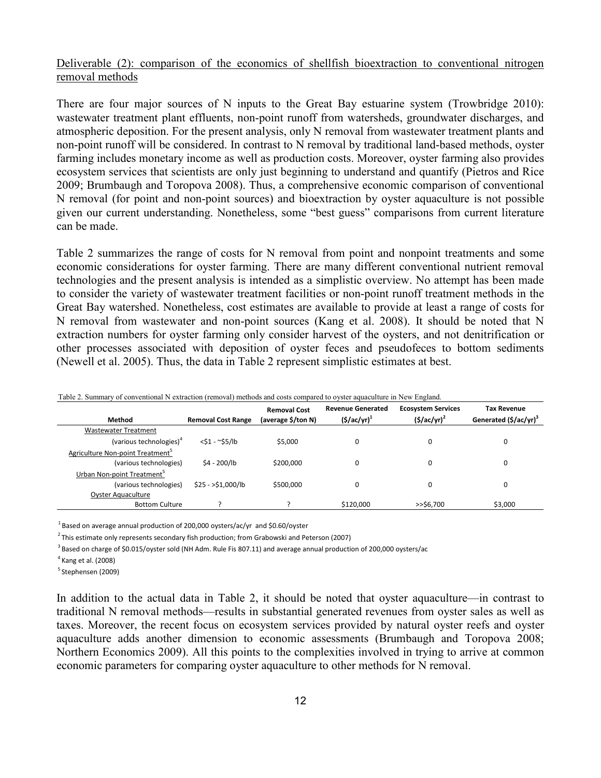### Deliverable (2): comparison of the economics of shellfish bioextraction to conventional nitrogen removal methods

There are four major sources of N inputs to the Great Bay estuarine system (Trowbridge 2010): wastewater treatment plant effluents, non-point runoff from watersheds, groundwater discharges, and atmospheric deposition. For the present analysis, only N removal from wastewater treatment plants and non-point runoff will be considered. In contrast to N removal by traditional land-based methods, oyster farming includes monetary income as well as production costs. Moreover, oyster farming also provides ecosystem services that scientists are only just beginning to understand and quantify (Pietros and Rice 2009; Brumbaugh and Toropova 2008). Thus, a comprehensive economic comparison of conventional N removal (for point and non-point sources) and bioextraction by oyster aquaculture is not possible given our current understanding. Nonetheless, some "best guess" comparisons from current literature can be made.

Table 2 summarizes the range of costs for N removal from point and nonpoint treatments and some economic considerations for oyster farming. There are many different conventional nutrient removal technologies and the present analysis is intended as a simplistic overview. No attempt has been made to consider the variety of wastewater treatment facilities or non-point runoff treatment methods in the Great Bay watershed. Nonetheless, cost estimates are available to provide at least a range of costs for N removal from wastewater and non-point sources (Kang et al. 2008). It should be noted that N extraction numbers for oyster farming only consider harvest of the oysters, and not denitrification or other processes associated with deposition of oyster feces and pseudofeces to bottom sediments (Newell et al. 2005). Thus, the data in Table 2 represent simplistic estimates at best.

| Table 2. Bullinial y 01 Conventional IV extraction (Temoval) includes and costs compared to ovsici aquaculture in IVEW England. |                           |                     |                          |                           |                                   |  |  |  |  |
|---------------------------------------------------------------------------------------------------------------------------------|---------------------------|---------------------|--------------------------|---------------------------|-----------------------------------|--|--|--|--|
|                                                                                                                                 |                           | <b>Removal Cost</b> | <b>Revenue Generated</b> | <b>Ecosystem Services</b> | Tax Revenue                       |  |  |  |  |
| Method                                                                                                                          | <b>Removal Cost Range</b> | (average \$/ton N)  | $($ \$/ac/yr $)^1$       | $(5/ac/yr)^2$             | Generated (\$/ac/yr) <sup>3</sup> |  |  |  |  |
| <b>Wastewater Treatment</b>                                                                                                     |                           |                     |                          |                           |                                   |  |  |  |  |
| (various technologies) <sup>4</sup>                                                                                             | $<$ \$1 - ~\$5/lb         | \$5.000             | 0                        |                           | $\Omega$                          |  |  |  |  |
| Agriculture Non-point Treatment <sup>5</sup>                                                                                    |                           |                     |                          |                           |                                   |  |  |  |  |
| (various technologies)                                                                                                          | \$4 - 200/lb              | \$200,000           | 0                        |                           | $\Omega$                          |  |  |  |  |
| Urban Non-point Treatment <sup>5</sup>                                                                                          |                           |                     |                          |                           |                                   |  |  |  |  |
| (various technologies)                                                                                                          | $$25 - $1,000/lb$         | \$500,000           | 0                        |                           | $\Omega$                          |  |  |  |  |
| <b>Oyster Aquaculture</b>                                                                                                       |                           |                     |                          |                           |                                   |  |  |  |  |
| <b>Bottom Culture</b>                                                                                                           |                           |                     | \$120,000                | $>>$ \$6.700              | \$3,000                           |  |  |  |  |

Table 2. Summary of conventional N extraction (removal) methods and costs compared to oyster aquaculture in New England.

 $^{1}$ Based on average annual production of 200,000 oysters/ac/yr and \$0.60/oyster

<sup>2</sup> This estimate only represents secondary fish production; from Grabowski and Peterson (2007)

<sup>3</sup> Based on charge of \$0.015/oyster sold (NH Adm. Rule Fis 807.11) and average annual production of 200,000 oysters/ac

 $5$  Stephensen (2009)

In addition to the actual data in Table 2, it should be noted that oyster aquaculture—in contrast to traditional N removal methods—results in substantial generated revenues from oyster sales as well as taxes. Moreover, the recent focus on ecosystem services provided by natural oyster reefs and oyster aquaculture adds another dimension to economic assessments (Brumbaugh and Toropova 2008; Northern Economics 2009). All this points to the complexities involved in trying to arrive at common economic parameters for comparing oyster aquaculture to other methods for N removal.

 $<sup>4</sup>$  Kang et al. (2008)</sup>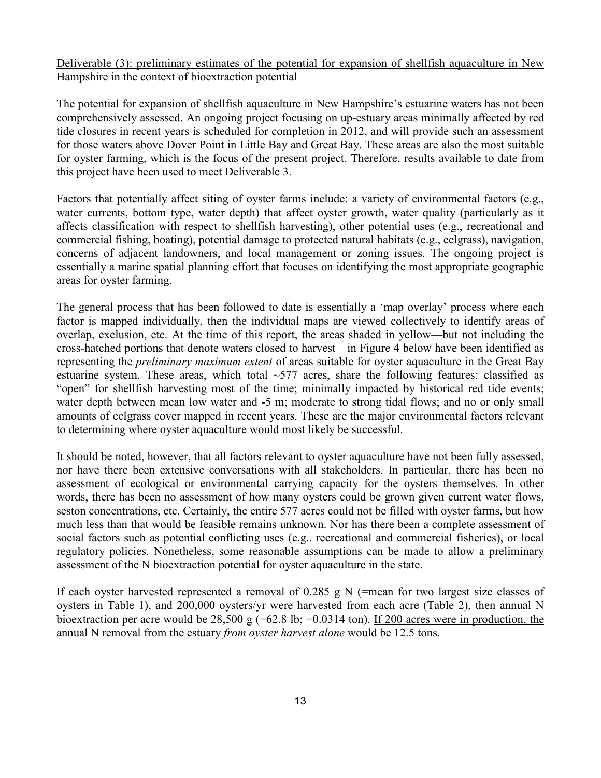Deliverable (3): preliminary estimates of the potential for expansion of shellfish aquaculture in New Hampshire in the context of bioextraction potential

The potential for expansion of shellfish aquaculture in New Hampshire's estuarine waters has not been comprehensively assessed. An ongoing project focusing on up-estuary areas minimally affected by red tide closures in recent years is scheduled for completion in 2012, and will provide such an assessment for those waters above Dover Point in Little Bay and Great Bay. These areas are also the most suitable for oyster farming, which is the focus of the present project. Therefore, results available to date from this project have been used to meet Deliverable 3.

Factors that potentially affect siting of oyster farms include: a variety of environmental factors (e.g., water currents, bottom type, water depth) that affect oyster growth, water quality (particularly as it affects classification with respect to shellfish harvesting), other potential uses (e.g., recreational and commercial fishing, boating), potential damage to protected natural habitats (e.g., eelgrass), navigation, concerns of adjacent landowners, and local management or zoning issues. The ongoing project is essentially a marine spatial planning effort that focuses on identifying the most appropriate geographic areas for oyster farming.

The general process that has been followed to date is essentially a 'map overlay' process where each factor is mapped individually, then the individual maps are viewed collectively to identify areas of overlap, exclusion, etc. At the time of this report, the areas shaded in yellow—but not including the cross?hatched portions that denote waters closed to harvest—in Figure 4 below have been identified as representing the *preliminary maximum extent* of areas suitable for oyster aquaculture in the Great Bay estuarine system. These areas, which total  $\sim$ 577 acres, share the following features: classified as "open" for shellfish harvesting most of the time; minimally impacted by historical red tide events; water depth between mean low water and -5 m; moderate to strong tidal flows; and no or only small amounts of eelgrass cover mapped in recent years. These are the major environmental factors relevant to determining where oyster aquaculture would most likely be successful.

It should be noted, however, that all factors relevant to oyster aquaculture have not been fully assessed, nor have there been extensive conversations with all stakeholders. In particular, there has been no assessment of ecological or environmental carrying capacity for the oysters themselves. In other words, there has been no assessment of how many oysters could be grown given current water flows, seston concentrations, etc. Certainly, the entire 577 acres could not be filled with oyster farms, but how much less than that would be feasible remains unknown. Nor has there been a complete assessment of social factors such as potential conflicting uses (e.g., recreational and commercial fisheries), or local regulatory policies. Nonetheless, some reasonable assumptions can be made to allow a preliminary assessment of the N bioextraction potential for oyster aquaculture in the state.

If each oyster harvested represented a removal of  $0.285$  g N (=mean for two largest size classes of oysters in Table 1), and 200,000 oysters/yr were harvested from each acre (Table 2), then annual N bioextraction per acre would be  $28,500 \text{ g}$  (=62.8 lb; =0.0314 ton). If 200 acres were in production, the <u>annual N removal from the estuary *from oyster harvest alone* would be 12.5 tons</u>.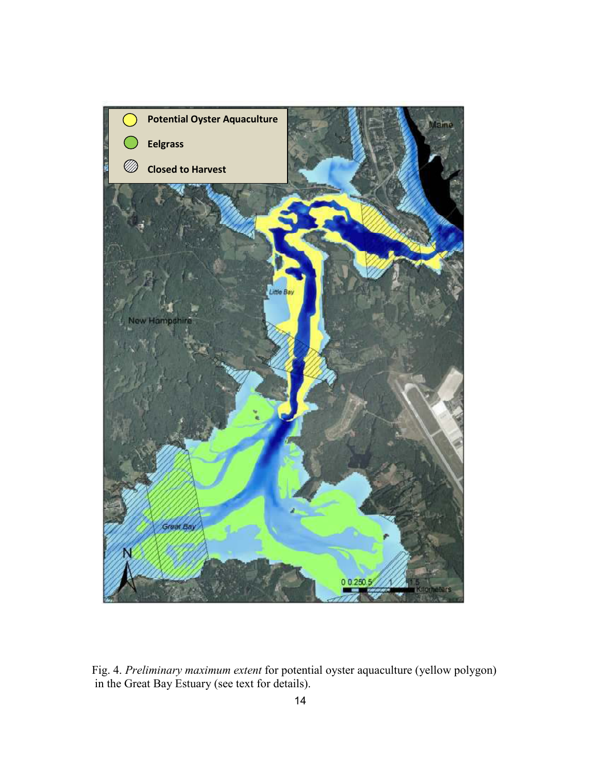

Fig. 4. *Preliminary maximum extent* for potential oyster aquaculture (yellow polygon) in the Great Bay Estuary (see text for details).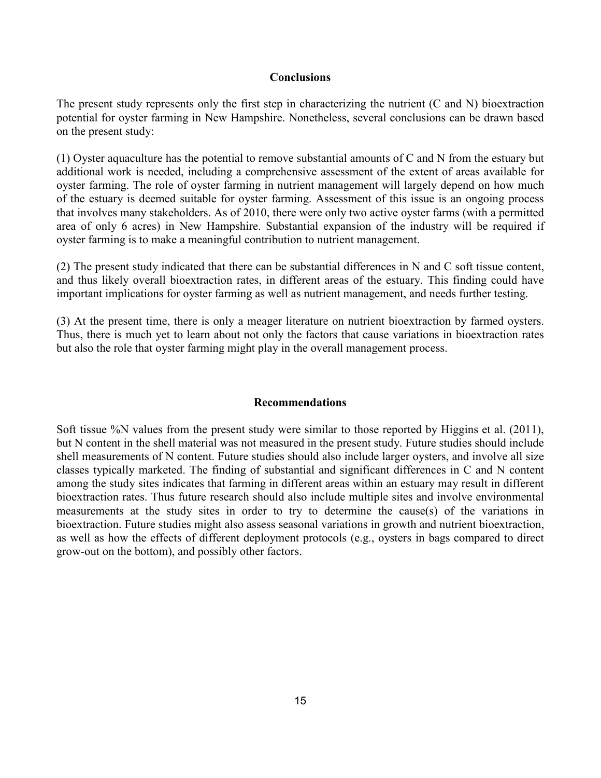#### **Conclusions**

The present study represents only the first step in characterizing the nutrient (C and N) bioextraction potential for oyster farming in New Hampshire. Nonetheless, several conclusions can be drawn based on the present study:

(1) Oyster aquaculture has the potential to remove substantial amounts of C and N from the estuary but additional work is needed, including a comprehensive assessment of the extent of areas available for oyster farming. The role of oyster farming in nutrient management will largely depend on how much of the estuary is deemed suitable for oyster farming. Assessment of this issue is an ongoing process that involves many stakeholders. As of 2010, there were only two active oyster farms (with a permitted area of only 6 acres) in New Hampshire. Substantial expansion of the industry will be required if oyster farming is to make a meaningful contribution to nutrient management.

(2) The present study indicated that there can be substantial differences in N and C soft tissue content, and thus likely overall bioextraction rates, in different areas of the estuary. This finding could have important implications for oyster farming as well as nutrient management, and needs further testing.

(3) At the present time, there is only a meager literature on nutrient bioextraction by farmed oysters. Thus, there is much yet to learn about not only the factors that cause variations in bioextraction rates but also the role that oyster farming might play in the overall management process.

#### **Recommendations**

Soft tissue %N values from the present study were similar to those reported by Higgins et al. (2011), but N content in the shell material was not measured in the present study. Future studies should include shell measurements of N content. Future studies should also include larger oysters, and involve all size classes typically marketed. The finding of substantial and significant differences in C and N content among the study sites indicates that farming in different areas within an estuary may result in different bioextraction rates. Thus future research should also include multiple sites and involve environmental measurements at the study sites in order to try to determine the cause(s) of the variations in bioextraction. Future studies might also assess seasonal variations in growth and nutrient bioextraction, as well as how the effects of different deployment protocols (e.g., oysters in bags compared to direct grow-out on the bottom), and possibly other factors.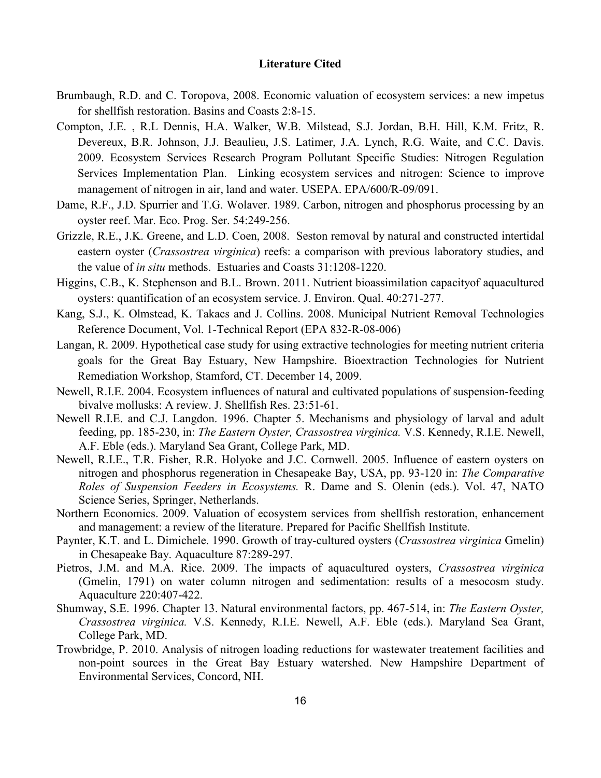#### **Literature Cited**

- Brumbaugh, R.D. and C. Toropova, 2008. Economic valuation of ecosystem services: a new impetus for shell fish restoration. Basins and Coasts  $2:8-15$ .
- Compton, J.E. , R.L Dennis, H.A. Walker, W.B. Milstead, S.J. Jordan, B.H. Hill, K.M. Fritz, R. Devereux, B.R. Johnson, J.J. Beaulieu, J.S. Latimer, J.A. Lynch, R.G. Waite, and C.C. Davis. 2009. Ecosystem Services Research Program Pollutant Specific Studies: Nitrogen Regulation Services Implementation Plan. Linking ecosystem services and nitrogen: Science to improve management of nitrogen in air, land and water. USEPA. EPA/600/R-09/091.
- Dame, R.F., J.D. Spurrier and T.G. Wolaver. 1989. Carbon, nitrogen and phosphorus processing by an oyster reef. Mar. Eco. Prog. Ser. 54:249-256.
- Grizzle, R.E., J.K. Greene, and L.D. Coen, 2008. Seston removal by natural and constructed intertidal eastern oyster (*Crassostrea virginica*) reefs: a comparison with previous laboratory studies, and the value of *in situ* methods. Estuaries and Coasts 31:1208-1220.
- Higgins, C.B., K. Stephenson and B.L. Brown. 2011. Nutrient bioassimilation capacityof aquacultured oysters: quantification of an ecosystem service. J. Environ. Qual.  $40:271-277$ .
- Kang, S.J., K. Olmstead, K. Takacs and J. Collins. 2008. Municipal Nutrient Removal Technologies Reference Document, Vol. 1-Technical Report (EPA 832-R-08-006)
- Langan, R. 2009. Hypothetical case study for using extractive technologies for meeting nutrient criteria goals for the Great Bay Estuary, New Hampshire. Bioextraction Technologies for Nutrient Remediation Workshop, Stamford, CT. December 14, 2009.
- Newell, R.I.E. 2004. Ecosystem influences of natural and cultivated populations of suspension-feeding bivalve mollusks: A review. J. Shellfish Res. 23:51-61.
- Newell R.I.E. and C.J. Langdon. 1996. Chapter 5. Mechanisms and physiology of larval and adult feeding, pp. 185-230, in: *The Eastern Oyster, Crassostrea virginica*. V.S. Kennedy, R.I.E. Newell, A.F. Eble (eds.). Maryland Sea Grant, College Park, MD.
- Newell, R.I.E., T.R. Fisher, R.R. Holyoke and J.C. Cornwell. 2005. Influence of eastern oysters on nitrogen and phosphorus regeneration in Chesapeake Bay, USA, pp. 93-120 in: *The Comparative* Roles of Suspension Feeders in Ecosystems. R. Dame and S. Olenin (eds.). Vol. 47, NATO Science Series, Springer, Netherlands.
- Northern Economics. 2009. Valuation of ecosystem services from shellfish restoration, enhancement and management: a review of the literature. Prepared for Pacific Shellfish Institute.
- Paynter, K.T. and L. Dimichele. 1990. Growth of tray-cultured oysters (*Crassostrea virginica* Gmelin) in Chesapeake Bay. Aquaculture 87:289-297.
- Pietros, J.M. and M.A. Rice. 2009. The impacts of aquacultured oysters, *Crassostrea virginica* (Gmelin, 1791) on water column nitrogen and sedimentation: results of a mesocosm study. Aquaculture 220:407-422.
- Shumway, S.E. 1996. Chapter 13. Natural environmental factors, pp. 467-514, in: *The Eastern Oyster*, Crassostrea virginica. V.S. Kennedy, R.I.E. Newell, A.F. Eble (eds.). Maryland Sea Grant, College Park, MD.
- Trowbridge, P. 2010. Analysis of nitrogen loading reductions for wastewater treatement facilities and non-point sources in the Great Bay Estuary watershed. New Hampshire Department of Environmental Services, Concord, NH.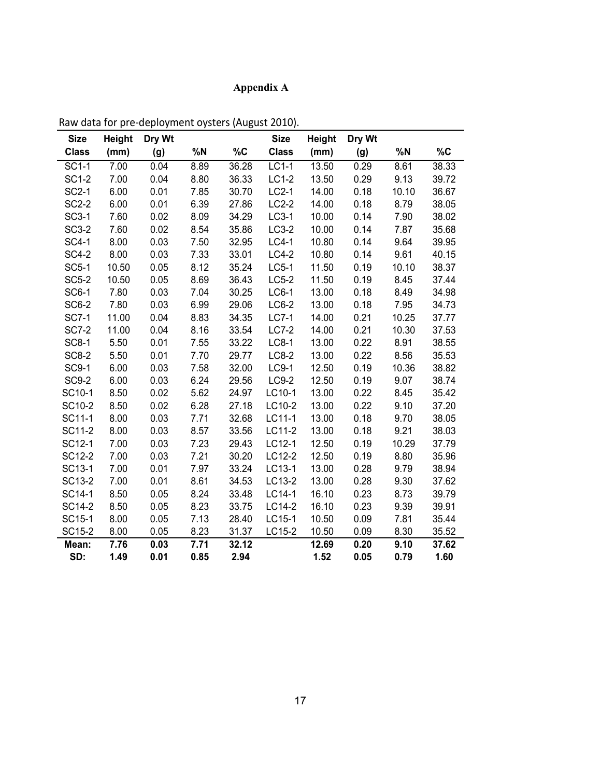# **Appendix A**

| <b>Size</b>  | Height | Dry Wt |      |       | <b>Size</b>  | <b>Height</b> | Dry Wt |       |       |
|--------------|--------|--------|------|-------|--------------|---------------|--------|-------|-------|
| <b>Class</b> | (mm)   | (g)    | %N   | $\%C$ | <b>Class</b> | (mm)          | (g)    | %N    | $\%C$ |
| <b>SC1-1</b> | 7.00   | 0.04   | 8.89 | 36.28 | $LC1-1$      | 13.50         | 0.29   | 8.61  | 38.33 |
| <b>SC1-2</b> | 7.00   | 0.04   | 8.80 | 36.33 | $LC1-2$      | 13.50         | 0.29   | 9.13  | 39.72 |
| <b>SC2-1</b> | 6.00   | 0.01   | 7.85 | 30.70 | $LC2-1$      | 14.00         | 0.18   | 10.10 | 36.67 |
| <b>SC2-2</b> | 6.00   | 0.01   | 6.39 | 27.86 | $LC2-2$      | 14.00         | 0.18   | 8.79  | 38.05 |
| <b>SC3-1</b> | 7.60   | 0.02   | 8.09 | 34.29 | $LC3-1$      | 10.00         | 0.14   | 7.90  | 38.02 |
| $SC3-2$      | 7.60   | 0.02   | 8.54 | 35.86 | $LC3-2$      | 10.00         | 0.14   | 7.87  | 35.68 |
| <b>SC4-1</b> | 8.00   | 0.03   | 7.50 | 32.95 | $LC4-1$      | 10.80         | 0.14   | 9.64  | 39.95 |
| <b>SC4-2</b> | 8.00   | 0.03   | 7.33 | 33.01 | $LC4-2$      | 10.80         | 0.14   | 9.61  | 40.15 |
| <b>SC5-1</b> | 10.50  | 0.05   | 8.12 | 35.24 | LC5-1        | 11.50         | 0.19   | 10.10 | 38.37 |
| <b>SC5-2</b> | 10.50  | 0.05   | 8.69 | 36.43 | $LC5-2$      | 11.50         | 0.19   | 8.45  | 37.44 |
| <b>SC6-1</b> | 7.80   | 0.03   | 7.04 | 30.25 | $LC6-1$      | 13.00         | 0.18   | 8.49  | 34.98 |
| <b>SC6-2</b> | 7.80   | 0.03   | 6.99 | 29.06 | LC6-2        | 13.00         | 0.18   | 7.95  | 34.73 |
| <b>SC7-1</b> | 11.00  | 0.04   | 8.83 | 34.35 | <b>LC7-1</b> | 14.00         | 0.21   | 10.25 | 37.77 |
| <b>SC7-2</b> | 11.00  | 0.04   | 8.16 | 33.54 | <b>LC7-2</b> | 14.00         | 0.21   | 10.30 | 37.53 |
| <b>SC8-1</b> | 5.50   | 0.01   | 7.55 | 33.22 | <b>LC8-1</b> | 13.00         | 0.22   | 8.91  | 38.55 |
| <b>SC8-2</b> | 5.50   | 0.01   | 7.70 | 29.77 | $LC8-2$      | 13.00         | 0.22   | 8.56  | 35.53 |
| <b>SC9-1</b> | 6.00   | 0.03   | 7.58 | 32.00 | LC9-1        | 12.50         | 0.19   | 10.36 | 38.82 |
| <b>SC9-2</b> | 6.00   | 0.03   | 6.24 | 29.56 | $LC9-2$      | 12.50         | 0.19   | 9.07  | 38.74 |
| SC10-1       | 8.50   | 0.02   | 5.62 | 24.97 | LC10-1       | 13.00         | 0.22   | 8.45  | 35.42 |
| SC10-2       | 8.50   | 0.02   | 6.28 | 27.18 | LC10-2       | 13.00         | 0.22   | 9.10  | 37.20 |
| SC11-1       | 8.00   | 0.03   | 7.71 | 32.68 | LC11-1       | 13.00         | 0.18   | 9.70  | 38.05 |
| SC11-2       | 8.00   | 0.03   | 8.57 | 33.56 | LC11-2       | 13.00         | 0.18   | 9.21  | 38.03 |
| SC12-1       | 7.00   | 0.03   | 7.23 | 29.43 | LC12-1       | 12.50         | 0.19   | 10.29 | 37.79 |
| SC12-2       | 7.00   | 0.03   | 7.21 | 30.20 | LC12-2       | 12.50         | 0.19   | 8.80  | 35.96 |
| SC13-1       | 7.00   | 0.01   | 7.97 | 33.24 | LC13-1       | 13.00         | 0.28   | 9.79  | 38.94 |
| SC13-2       | 7.00   | 0.01   | 8.61 | 34.53 | LC13-2       | 13.00         | 0.28   | 9.30  | 37.62 |
| SC14-1       | 8.50   | 0.05   | 8.24 | 33.48 | LC14-1       | 16.10         | 0.23   | 8.73  | 39.79 |
| SC14-2       | 8.50   | 0.05   | 8.23 | 33.75 | LC14-2       | 16.10         | 0.23   | 9.39  | 39.91 |
| SC15-1       | 8.00   | 0.05   | 7.13 | 28.40 | LC15-1       | 10.50         | 0.09   | 7.81  | 35.44 |
| SC15-2       | 8.00   | 0.05   | 8.23 | 31.37 | LC15-2       | 10.50         | 0.09   | 8.30  | 35.52 |
| Mean:        | 7.76   | 0.03   | 7.71 | 32.12 |              | 12.69         | 0.20   | 9.10  | 37.62 |
| SD:          | 1.49   | 0.01   | 0.85 | 2.94  |              | 1.52          | 0.05   | 0.79  | 1.60  |

Raw data for pre-deployment oysters (August 2010).